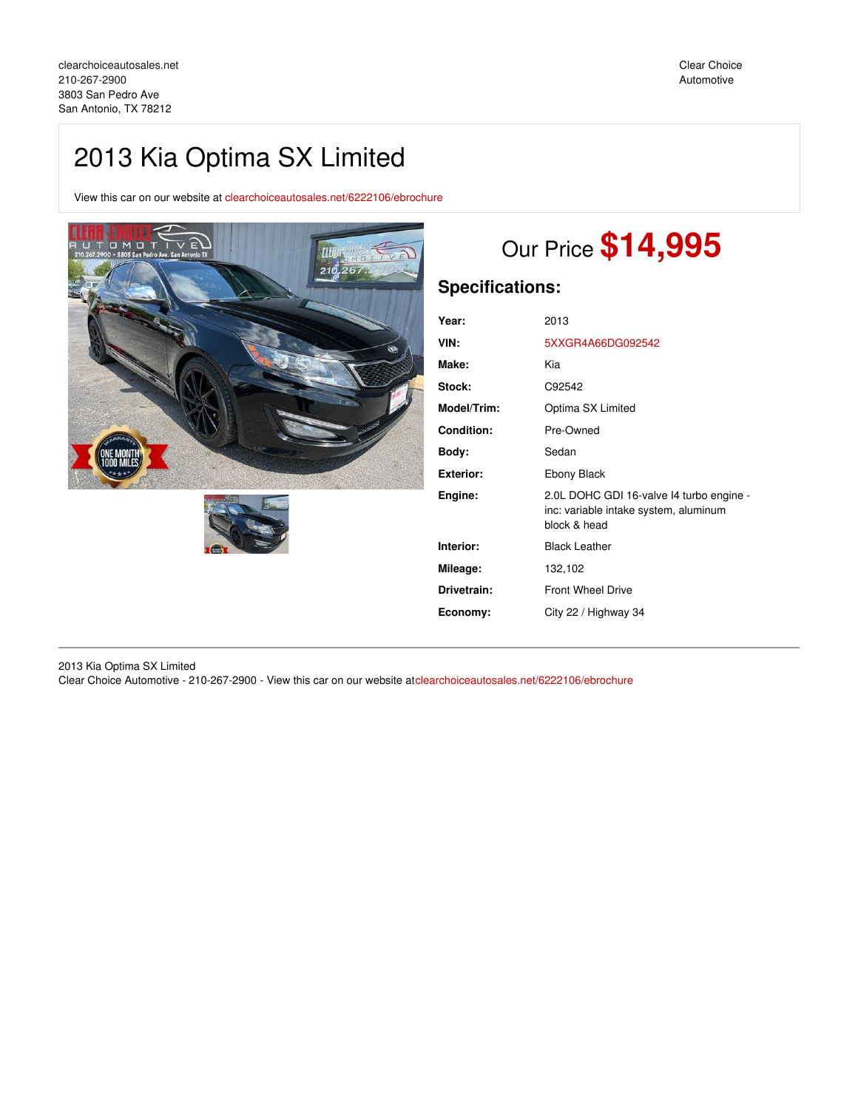## 2013 Kia Optima SX Limited

View this car on our website at [clearchoiceautosales.net/6222106/ebrochure](https://clearchoiceautosales.net/vehicle/6222106/2013-kia-optima-sx-limited-san-antonio-tx-78212/6222106/ebrochure)





# Our Price **\$14,995**

## **Specifications:**

| Year:              | 2013                                                                                              |
|--------------------|---------------------------------------------------------------------------------------------------|
| VIN:               | 5XXGR4A66DG092542                                                                                 |
| Make:              | Kia                                                                                               |
| Stock:             | C92542                                                                                            |
| <b>Model/Trim:</b> | Optima SX Limited                                                                                 |
| <b>Condition:</b>  | Pre-Owned                                                                                         |
| Body:              | Sedan                                                                                             |
| <b>Exterior:</b>   | Ebony Black                                                                                       |
| Engine:            | 2.0L DOHC GDI 16-valve I4 turbo engine -<br>inc: variable intake system, aluminum<br>block & head |
| Interior:          | <b>Black Leather</b>                                                                              |
| Mileage:           | 132,102                                                                                           |
| Drivetrain:        | <b>Front Wheel Drive</b>                                                                          |
| Economy:           | City 22 / Highway 34                                                                              |

2013 Kia Optima SX Limited Clear Choice Automotive - 210-267-2900 - View this car on our website at[clearchoiceautosales.net/6222106/ebrochure](https://clearchoiceautosales.net/vehicle/6222106/2013-kia-optima-sx-limited-san-antonio-tx-78212/6222106/ebrochure)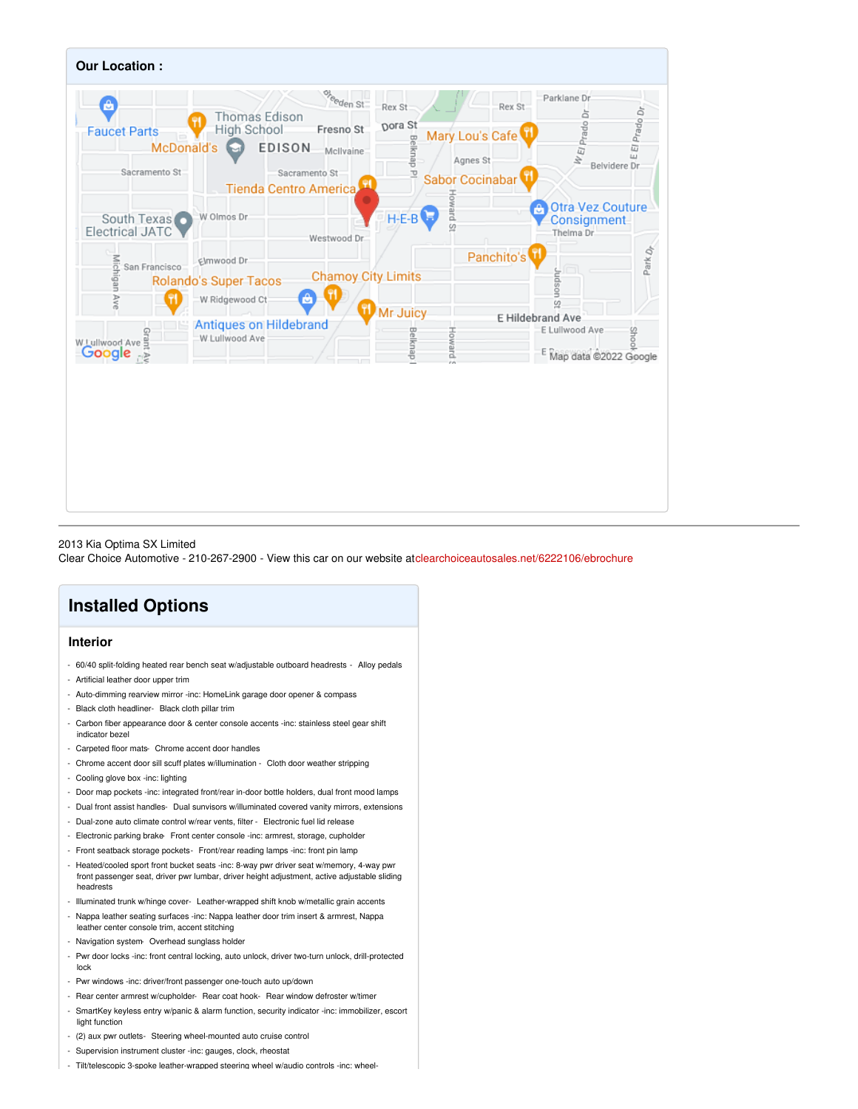

## 2013 Kia Optima SX Limited

Clear Choice Automotive - 210-267-2900 - View this car on our website at[clearchoiceautosales.net/6222106/ebrochure](https://clearchoiceautosales.net/vehicle/6222106/2013-kia-optima-sx-limited-san-antonio-tx-78212/6222106/ebrochure)

## **Installed Options**

## **Interior**

- 60/40 split-folding heated rear bench seat w/adjustable outboard headrests Alloy pedals
- Artificial leather door upper trim
- Auto-dimming rearview mirror -inc: HomeLink garage door opener & compass
- Black cloth headliner- Black cloth pillar trim
- Carbon fiber appearance door & center console accents -inc: stainless steel gear shift indicator bezel
- Carpeted floor mats- Chrome accent door handles
- Chrome accent door sill scuff plates w/illumination Cloth door weather stripping
- Cooling glove box -inc: lighting
- Door map pockets -inc: integrated front/rear in-door bottle holders, dual front mood lamps
- Dual front assist handles- Dual sunvisors w/illuminated covered vanity mirrors, extensions
- Dual-zone auto climate control w/rear vents, filter Electronic fuel lid release
- Electronic parking brake Front center console -inc: armrest, storage, cupholder
- Front seatback storage pockets- Front/rear reading lamps -inc: front pin lamp
- Heated/cooled sport front bucket seats -inc: 8-way pwr driver seat w/memory, 4-way pwr front passenger seat, driver pwr lumbar, driver height adjustment, active adjustable sliding headrests
- Illuminated trunk w/hinge cover- Leather-wrapped shift knob w/metallic grain accents
- Nappa leather seating surfaces -inc: Nappa leather door trim insert & armrest, Nappa
- leather center console trim, accent stitching - Navigation system- Overhead sunglass holder
- Pwr door locks -inc: front central locking, auto unlock, driver two-turn unlock, drill-protected lock
- Pwr windows -inc: driver/front passenger one-touch auto up/down
- Rear center armrest w/cupholder- Rear coat hook- Rear window defroster w/timer
- SmartKey keyless entry w/panic & alarm function, security indicator -inc: immobilizer, escort light function
- (2) aux pwr outlets- Steering wheel-mounted auto cruise control
- Supervision instrument cluster -inc: gauges, clock, rheostat
- Tilt/telescopic 3-spoke leather-wrapped steering wheel w/audio controls -inc: wheel-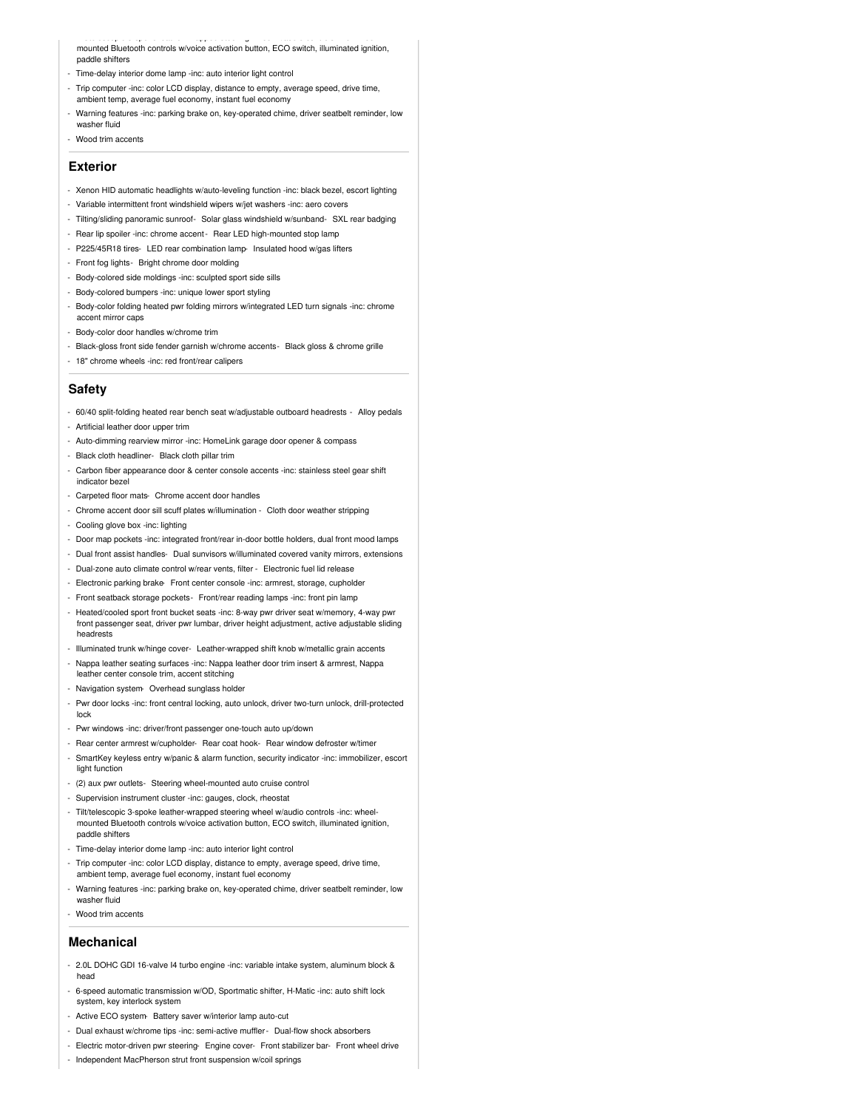- Tilt/telescopic 3-spoke leather-wrapped steering wheel w/audio controls -inc: wheel-mounted Bluetooth controls w/voice activation button, ECO switch, illuminated ignition, paddle shifters

- Time-delay interior dome lamp -inc: auto interior light control
- Trip computer -inc: color LCD display, distance to empty, average speed, drive time, ambient temp, average fuel economy, instant fuel economy
- Warning features -inc: parking brake on, key-operated chime, driver seatbelt reminder, low washer fluid
- Wood trim accents

#### **Exterior**

- Xenon HID automatic headlights w/auto-leveling function -inc: black bezel, escort lighting
- Variable intermittent front windshield wipers w/jet washers -inc: aero covers
- Tilting/sliding panoramic sunroof- Solar glass windshield w/sunband- SXL rear badging
- Rear lip spoiler -inc: chrome accent- Rear LED high-mounted stop lamp
- P225/45R18 tires- LED rear combination lamp- Insulated hood w/gas lifters
- Front fog lights- Bright chrome door molding
- Body-colored side moldings -inc: sculpted sport side sills
- Body-colored bumpers -inc: unique lower sport styling
- Body-color folding heated pwr folding mirrors w/integrated LED turn signals -inc: chrome accent mirror caps
- Body-color door handles w/chrome trim
- Black-gloss front side fender garnish w/chrome accents- Black gloss & chrome grille
- 18" chrome wheels -inc: red front/rear calipers

#### **Safety**

- 60/40 split-folding heated rear bench seat w/adjustable outboard headrests Alloy pedals
- Artificial leather door upper trim
- Auto-dimming rearview mirror -inc: HomeLink garage door opener & compass
- Black cloth headliner- Black cloth pillar trim
- Carbon fiber appearance door & center console accents -inc: stainless steel gear shift indicator bezel
- Carpeted floor mats- Chrome accent door handles
- Chrome accent door sill scuff plates w/illumination Cloth door weather stripping
- Cooling glove box -inc: lighting
- Door map pockets -inc: integrated front/rear in-door bottle holders, dual front mood lamps
- Dual front assist handles- Dual sunvisors w/illuminated covered vanity mirrors, extensions
- Dual-zone auto climate control w/rear vents, filter Electronic fuel lid release
- Electronic parking brake- Front center console -inc: armrest, storage, cupholder
- Front seatback storage pockets- Front/rear reading lamps -inc: front pin lamp
- Heated/cooled sport front bucket seats -inc: 8-way pwr driver seat w/memory, 4-way pwr front passenger seat, driver pwr lumbar, driver height adjustment, active adjustable sliding headrests
- Illuminated trunk w/hinge cover- Leather-wrapped shift knob w/metallic grain accents
- Nappa leather seating surfaces -inc: Nappa leather door trim insert & armrest, Nappa leather center console trim, accent stitching
- Navigation system- Overhead sunglass holder
- Pwr door locks -inc: front central locking, auto unlock, driver two-turn unlock, drill-protected lock
- Pwr windows -inc: driver/front passenger one-touch auto up/down
- Rear center armrest w/cupholder- Rear coat hook- Rear window defroster w/timer
- SmartKey keyless entry w/panic & alarm function, security indicator -inc: immobilizer, escort light function
- (2) aux pwr outlets- Steering wheel-mounted auto cruise control
- Supervision instrument cluster -inc: gauges, clock, rheostat
- Tilt/telescopic 3-spoke leather-wrapped steering wheel w/audio controls -inc: wheelmounted Bluetooth controls w/voice activation button, ECO switch, illuminated ignition, paddle shifters
- Time-delay interior dome lamp -inc: auto interior light control
- Trip computer -inc: color LCD display, distance to empty, average speed, drive time, ambient temp, average fuel economy, instant fuel economy
- Warning features -inc: parking brake on, key-operated chime, driver seatbelt reminder, low washer fluid
- Wood trim accents

### **Mechanical**

- 2.0L DOHC GDI 16-valve I4 turbo engine -inc: variable intake system, aluminum block & head
- 6-speed automatic transmission w/OD, Sportmatic shifter, H-Matic -inc: auto shift lock system, key interlock system
- Active ECO system- Battery saver w/interior lamp auto-cut
- Dual exhaust w/chrome tips -inc: semi-active muffler- Dual-flow shock absorbers
- Electric motor-driven pwr steering- Engine cover- Front stabilizer bar- Front wheel drive
- Independent MacPherson strut front suspension w/coil springs